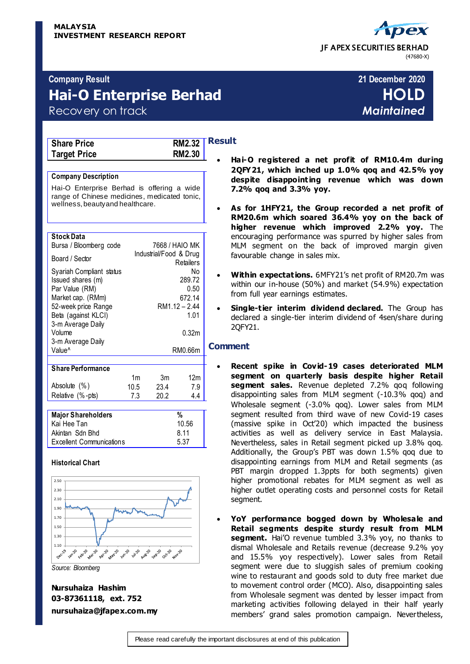# JF APEX SECURITIES BERHAD (47680-X)

### **Company Result 21 December 2020**

# **Hai-O Enterprise Berhad HOLD**

Recovery on track *Maintained*

| <b>Share Price</b>  | <b>RM2.32</b> |
|---------------------|---------------|
| <b>Target Price</b> | <b>RM2.30</b> |

### **Company Description**

Hai-O Enterprise Berhad is offering a wide range of Chinese medicines, medicated tonic, wellness, beauty and healthcare.

### **Stock Data**

| Bursa / Bloomberg code                                                                                                                                  |                | 7668 / HAIO MK         |                                        |  |
|---------------------------------------------------------------------------------------------------------------------------------------------------------|----------------|------------------------|----------------------------------------|--|
| Board / Sector                                                                                                                                          |                | Industrial/Food & Drug | Retailers                              |  |
| Syariah Compliant status<br>Issued shares (m)<br>Par Value (RM)<br>Market cap. (RMm)<br>52-week price Range<br>Beta (against KLCI)<br>3-m Average Daily |                | RM1.12 - 2.44          | N٥<br>289.72<br>0.50<br>672.14<br>1.01 |  |
| Volume                                                                                                                                                  |                |                        | 0.32m                                  |  |
| 3-m Average Daily<br>Value <sup>^</sup>                                                                                                                 |                |                        | RM0.66m                                |  |
| <b>Share Performance</b>                                                                                                                                |                |                        |                                        |  |
|                                                                                                                                                         | 1 <sub>m</sub> | 3m                     | 12m                                    |  |
| Absolute (%)                                                                                                                                            | 10.5           | 23.4                   | 7.9                                    |  |
| Relative (%-pts)                                                                                                                                        | 7.3            | 20.2                   | 4.4                                    |  |
|                                                                                                                                                         |                |                        |                                        |  |

| <b>Major Shareholders</b> | %     |
|---------------------------|-------|
| Kai Hee Tan               | 10.56 |
| Akintan Sdn Bhd           | 8.11  |
| Excellent Communications  | 5.37  |
|                           |       |

### **Historical Chart**



*Source: Bloomberg*

### **Result**

- **Hai-O registered a net profit of RM10.4m during 2QFY21, which inched up 1.0% qoq and 42.5% yoy despite disappointing revenue which was down 7.2% qoq and 3.3% yoy.**
- **As for 1HFY21, the Group recorded a net profit of RM20.6m which soared 36.4% yoy on the back of higher revenue which improved 2.2% yoy.** The encouraging performance was spurred by higher sales from MLM segment on the back of improved margin given favourable change in sales mix.
- **Within expectations.** 6MFY21's net profit of RM20.7m was within our in-house (50%) and market (54.9%) expectation from full year earnings estimates.
- **Single-tier interim dividend declared.** The Group has declared a single-tier interim dividend of 4sen/share during 2QFY21.

### **Comment**

- **Recent spike in Covid-19 cases deteriorated MLM segment on quarterly basis despite higher Retail segment sales.** Revenue depleted 7.2% qoq following disappointing sales from MLM segment (-10.3% qoq) and Wholesale segment (-3.0% qoq). Lower sales from MLM segment resulted from third wave of new Covid-19 cases (massive spike in Oct'20) which impacted the business activities as well as delivery service in East Malaysia. Nevertheless, sales in Retail segment picked up 3.8% qoq. Additionally, the Group's PBT was down 1.5% qoq due to disappointing earnings from MLM and Retail segments (as PBT margin dropped 1.3ppts for both segments) given higher promotional rebates for MLM segment as well as higher outlet operating costs and personnel costs for Retail segment.
- **YoY performance bogged down by Wholesale and Retail segments despite sturdy result from MLM segment.** Hai'O revenue tumbled 3.3% yoy, no thanks to dismal Wholesale and Retails revenue (decrease 9.2% yoy and 15.5% yoy respectively). Lower sales from Retail segment were due to sluggish sales of premium cooking wine to restaurant and goods sold to duty free market due to movement control order (MCO). Also, disappointing sales from Wholesale segment was dented by lesser impact from marketing activities following delayed in their half yearly members' grand sales promotion campaign. Nevertheless,

**Nursuhaiza Hashim 03-87361118, ext. 752 nursuhaiza@jfapex.com.my**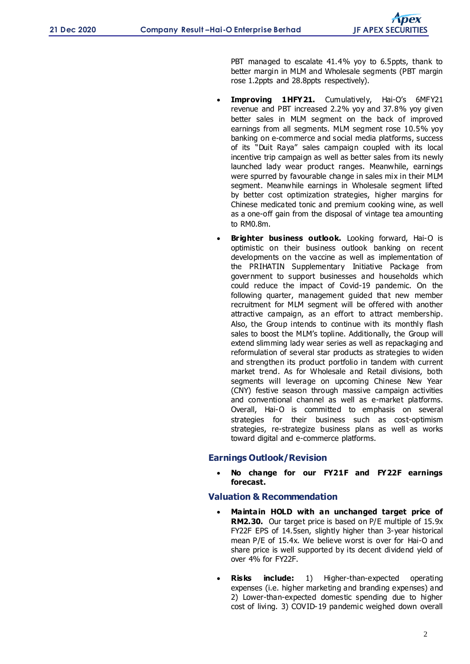PBT managed to escalate 41.4% yoy to 6.5ppts, thank to better margin in MLM and Wholesale segments (PBT margin rose 1.2ppts and 28.8ppts respectively).

- **Improving 1HFY21.** Cumulatively, Hai-O's 6MFY21 revenue and PBT increased 2.2% yoy and 37.8% yoy given better sales in MLM segment on the back of improved earnings from all segments. MLM segment rose 10.5% yoy banking on e-commerce and social media platforms, success of its "Duit Raya" sales campaign coupled with its local incentive trip campaign as well as better sales from its newly launched lady wear product ranges. Meanwhile, earnings were spurred by favourable change in sales mix in their MLM segment. Meanwhile earnings in Wholesale segment lifted by better cost optimization strategies, higher margins for Chinese medicated tonic and premium cooking wine, as well as a one-off gain from the disposal of vintage tea amounting to RM0.8m.
- **Brighter business outlook.** Looking forward, Hai-O is optimistic on their business outlook banking on recent developments on the vaccine as well as implementation of the PRIHATIN Supplementary Initiative Package from government to support businesses and households which could reduce the impact of Covid-19 pandemic. On the following quarter, management guided that new member recruitment for MLM segment will be offered with another attractive campaign, as an effort to attract membership. Also, the Group intends to continue with its monthly flash sales to boost the MLM's topline. Additionally, the Group will extend slimming lady wear series as well as repackaging and reformulation of several star products as strategies to widen and strengthen its product portfolio in tandem with current market trend. As for Wholesale and Retail divisions, both segments will leverage on upcoming Chinese New Year (CNY) festive season through massive campaign activities and conventional channel as well as e-market platforms. Overall, Hai-O is committed to emphasis on several strategies for their business such as cost-optimism strategies, re-strategize business plans as well as works toward digital and e-commerce platforms.

### **Earnings Outlook/Revision**

 **No change for our FY21F and FY22F earnings forecast.**

### **Valuation & Recommendation**

- **Maintain HOLD with an unchanged target price of RM2.30.** Our target price is based on P/E multiple of 15.9x FY22F EPS of 14.5sen, slightly higher than 3-year historical mean P/E of 15.4x. We believe worst is over for Hai-O and share price is well supported by its decent dividend yield of over 4% for FY22F.
- **Risks include:** 1) Higher-than-expected operating expenses (i.e. higher marketing and branding expenses) and 2) Lower-than-expected domestic spending due to higher cost of living. 3) COVID-19 pandemic weighed down overall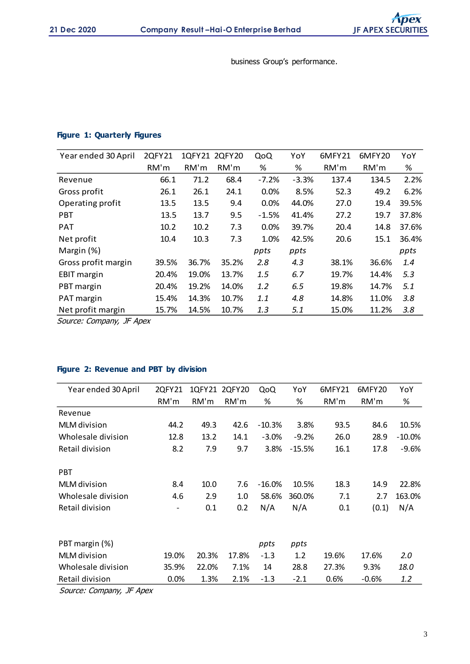business Group's performance.

### **Figure 1: Quarterly Figures**

| Year ended 30 April | 2QFY21 |       | 1QFY21 2QFY20 | QoQ     | YoY     | 6MFY21 | 6MFY20 | YoY   |
|---------------------|--------|-------|---------------|---------|---------|--------|--------|-------|
|                     | RM'm   | RM'm  | RM'm          | %       | %       | RM'm   | RM'm   | %     |
| Revenue             | 66.1   | 71.2  | 68.4          | $-7.2%$ | $-3.3%$ | 137.4  | 134.5  | 2.2%  |
| Gross profit        | 26.1   | 26.1  | 24.1          | 0.0%    | 8.5%    | 52.3   | 49.2   | 6.2%  |
| Operating profit    | 13.5   | 13.5  | 9.4           | 0.0%    | 44.0%   | 27.0   | 19.4   | 39.5% |
| <b>PBT</b>          | 13.5   | 13.7  | 9.5           | $-1.5%$ | 41.4%   | 27.2   | 19.7   | 37.8% |
| <b>PAT</b>          | 10.2   | 10.2  | 7.3           | 0.0%    | 39.7%   | 20.4   | 14.8   | 37.6% |
| Net profit          | 10.4   | 10.3  | 7.3           | 1.0%    | 42.5%   | 20.6   | 15.1   | 36.4% |
| Margin (%)          |        |       |               | ppts    | ppts    |        |        | ppts  |
| Gross profit margin | 39.5%  | 36.7% | 35.2%         | 2.8     | 4.3     | 38.1%  | 36.6%  | 1.4   |
| <b>EBIT margin</b>  | 20.4%  | 19.0% | 13.7%         | 1.5     | 6.7     | 19.7%  | 14.4%  | 5.3   |
| PBT margin          | 20.4%  | 19.2% | 14.0%         | 1.2     | 6.5     | 19.8%  | 14.7%  | 5.1   |
| PAT margin          | 15.4%  | 14.3% | 10.7%         | 1.1     | 4.8     | 14.8%  | 11.0%  | 3.8   |
| Net profit margin   | 15.7%  | 14.5% | 10.7%         | 1.3     | 5.1     | 15.0%  | 11.2%  | 3.8   |

Source: Company, JF Apex

### **Figure 2: Revenue and PBT by division**

| Year ended 30 April | 2QFY21                   | 1QFY21 | 2QFY20 | QoQ      | YoY      | 6MFY21 | 6MFY20  | YoY       |
|---------------------|--------------------------|--------|--------|----------|----------|--------|---------|-----------|
|                     | RM'm                     | RM'm   | RM'm   | %        | %        | RM'm   | RM'm    | %         |
| Revenue             |                          |        |        |          |          |        |         |           |
| MLM division        | 44.2                     | 49.3   | 42.6   | $-10.3%$ | 3.8%     | 93.5   | 84.6    | 10.5%     |
| Wholesale division  | 12.8                     | 13.2   | 14.1   | $-3.0%$  | $-9.2%$  | 26.0   | 28.9    | $-10.0\%$ |
| Retail division     | 8.2                      | 7.9    | 9.7    | 3.8%     | $-15.5%$ | 16.1   | 17.8    | $-9.6%$   |
| <b>PBT</b>          |                          |        |        |          |          |        |         |           |
| MLM division        | 8.4                      | 10.0   | 7.6    | $-16.0%$ | 10.5%    | 18.3   | 14.9    | 22.8%     |
| Wholesale division  | 4.6                      | 2.9    | 1.0    | 58.6%    | 360.0%   | 7.1    | 2.7     | 163.0%    |
| Retail division     | $\overline{\phantom{a}}$ | 0.1    | 0.2    | N/A      | N/A      | 0.1    | (0.1)   | N/A       |
|                     |                          |        |        |          |          |        |         |           |
| PBT margin (%)      |                          |        |        | ppts     | ppts     |        |         |           |
| MLM division        | 19.0%                    | 20.3%  | 17.8%  | $-1.3$   | 1.2      | 19.6%  | 17.6%   | 2.0       |
| Wholesale division  | 35.9%                    | 22.0%  | 7.1%   | 14       | 28.8     | 27.3%  | 9.3%    | 18.0      |
| Retail division     | 0.0%                     | 1.3%   | 2.1%   | $-1.3$   | $-2.1$   | 0.6%   | $-0.6%$ | 1.2       |

Source: Company, JF Apex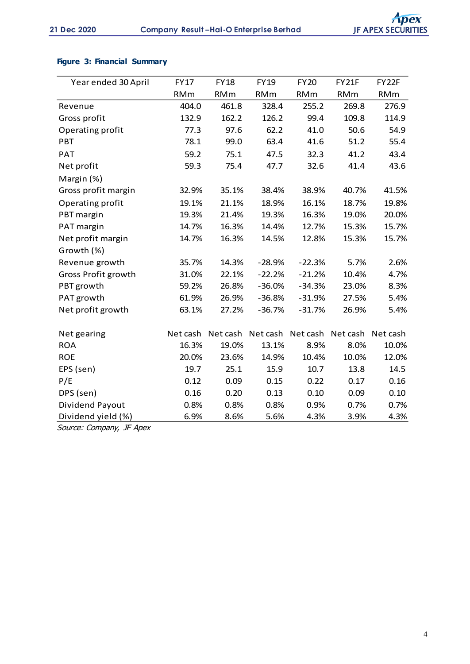## **Figure 3: Financial Summary**

| Year ended 30 April | <b>FY17</b> | <b>FY18</b> | <b>FY19</b> | <b>FY20</b> | FY21F      | FY22F      |
|---------------------|-------------|-------------|-------------|-------------|------------|------------|
|                     | <b>RMm</b>  | <b>RMm</b>  | <b>RMm</b>  | <b>RMm</b>  | <b>RMm</b> | <b>RMm</b> |
| Revenue             | 404.0       | 461.8       | 328.4       | 255.2       | 269.8      | 276.9      |
| Gross profit        | 132.9       | 162.2       | 126.2       | 99.4        | 109.8      | 114.9      |
| Operating profit    | 77.3        | 97.6        | 62.2        | 41.0        | 50.6       | 54.9       |
| <b>PBT</b>          | 78.1        | 99.0        | 63.4        | 41.6        | 51.2       | 55.4       |
| <b>PAT</b>          | 59.2        | 75.1        | 47.5        | 32.3        | 41.2       | 43.4       |
| Net profit          | 59.3        | 75.4        | 47.7        | 32.6        | 41.4       | 43.6       |
| Margin (%)          |             |             |             |             |            |            |
| Gross profit margin | 32.9%       | 35.1%       | 38.4%       | 38.9%       | 40.7%      | 41.5%      |
| Operating profit    | 19.1%       | 21.1%       | 18.9%       | 16.1%       | 18.7%      | 19.8%      |
| PBT margin          | 19.3%       | 21.4%       | 19.3%       | 16.3%       | 19.0%      | 20.0%      |
| PAT margin          | 14.7%       | 16.3%       | 14.4%       | 12.7%       | 15.3%      | 15.7%      |
| Net profit margin   | 14.7%       | 16.3%       | 14.5%       | 12.8%       | 15.3%      | 15.7%      |
| Growth (%)          |             |             |             |             |            |            |
| Revenue growth      | 35.7%       | 14.3%       | $-28.9%$    | $-22.3%$    | 5.7%       | 2.6%       |
| Gross Profit growth | 31.0%       | 22.1%       | $-22.2%$    | $-21.2%$    | 10.4%      | 4.7%       |
| PBT growth          | 59.2%       | 26.8%       | $-36.0%$    | $-34.3%$    | 23.0%      | 8.3%       |
| PAT growth          | 61.9%       | 26.9%       | $-36.8%$    | $-31.9%$    | 27.5%      | 5.4%       |
| Net profit growth   | 63.1%       | 27.2%       | $-36.7%$    | $-31.7%$    | 26.9%      | 5.4%       |
|                     |             |             |             |             |            |            |
| Net gearing         | Net cash    | Net cash    | Net cash    | Net cash    | Net cash   | Net cash   |
| <b>ROA</b>          | 16.3%       | 19.0%       | 13.1%       | 8.9%        | 8.0%       | 10.0%      |
| <b>ROE</b>          | 20.0%       | 23.6%       | 14.9%       | 10.4%       | 10.0%      | 12.0%      |
| EPS (sen)           | 19.7        | 25.1        | 15.9        | 10.7        | 13.8       | 14.5       |
| P/E                 | 0.12        | 0.09        | 0.15        | 0.22        | 0.17       | 0.16       |
| DPS (sen)           | 0.16        | 0.20        | 0.13        | 0.10        | 0.09       | 0.10       |
| Dividend Payout     | 0.8%        | 0.8%        | 0.8%        | 0.9%        | 0.7%       | 0.7%       |
| Dividend yield (%)  | 6.9%        | 8.6%        | 5.6%        | 4.3%        | 3.9%       | 4.3%       |

Source: Company, JF Apex